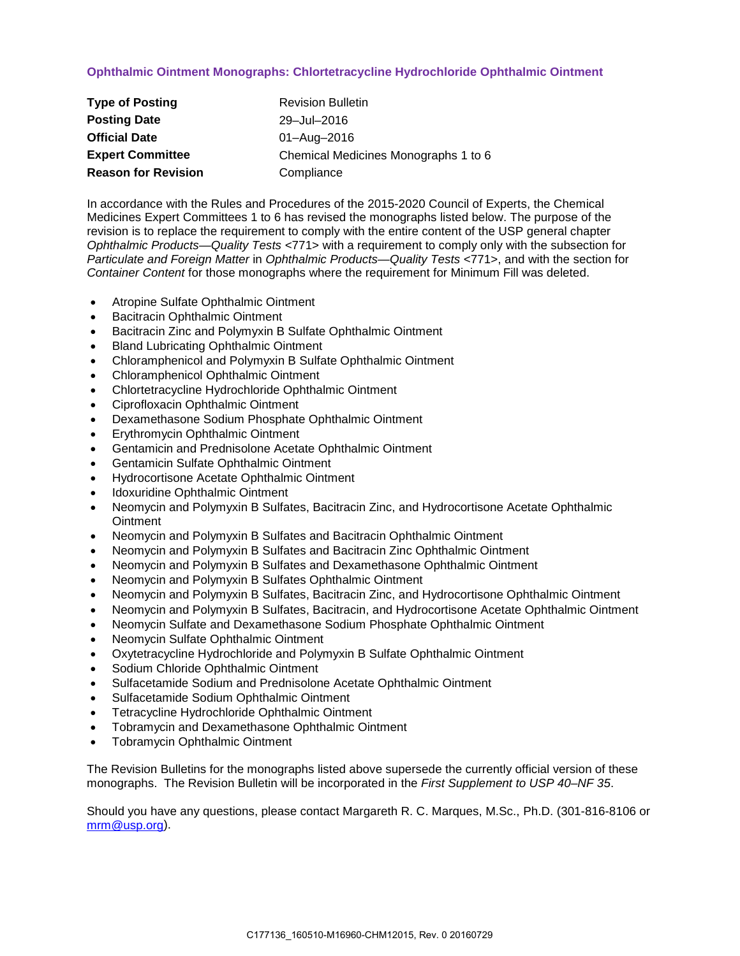## **Ophthalmic Ointment Monographs: Chlortetracycline Hydrochloride Ophthalmic Ointment**

| <b>Type of Posting</b>     | <b>Revision Bulletin</b>             |
|----------------------------|--------------------------------------|
| <b>Posting Date</b>        | 29-Jul-2016                          |
| <b>Official Date</b>       | 01-Aug-2016                          |
| <b>Expert Committee</b>    | Chemical Medicines Monographs 1 to 6 |
| <b>Reason for Revision</b> | Compliance                           |

In accordance with the Rules and Procedures of the 2015-2020 Council of Experts, the Chemical Medicines Expert Committees 1 to 6 has revised the monographs listed below. The purpose of the revision is to replace the requirement to comply with the entire content of the USP general chapter *Ophthalmic Products—Quality Tests* <771> with a requirement to comply only with the subsection for *Particulate and Foreign Matter* in *Ophthalmic Products—Quality Tests* <771>, and with the section for *Container Content* for those monographs where the requirement for Minimum Fill was deleted.

- Atropine Sulfate Ophthalmic Ointment
- Bacitracin Ophthalmic Ointment
- Bacitracin Zinc and Polymyxin B Sulfate Ophthalmic Ointment
- Bland Lubricating Ophthalmic Ointment
- Chloramphenicol and Polymyxin B Sulfate Ophthalmic Ointment
- Chloramphenicol Ophthalmic Ointment
- Chlortetracycline Hydrochloride Ophthalmic Ointment
- Ciprofloxacin Ophthalmic Ointment
- Dexamethasone Sodium Phosphate Ophthalmic Ointment
- Erythromycin Ophthalmic Ointment
- Gentamicin and Prednisolone Acetate Ophthalmic Ointment
- Gentamicin Sulfate Ophthalmic Ointment
- Hydrocortisone Acetate Ophthalmic Ointment
- Idoxuridine Ophthalmic Ointment
- Neomycin and Polymyxin B Sulfates, Bacitracin Zinc, and Hydrocortisone Acetate Ophthalmic **Ointment**
- Neomycin and Polymyxin B Sulfates and Bacitracin Ophthalmic Ointment
- Neomycin and Polymyxin B Sulfates and Bacitracin Zinc Ophthalmic Ointment
- Neomycin and Polymyxin B Sulfates and Dexamethasone Ophthalmic Ointment
- Neomycin and Polymyxin B Sulfates Ophthalmic Ointment
- Neomycin and Polymyxin B Sulfates, Bacitracin Zinc, and Hydrocortisone Ophthalmic Ointment
- Neomycin and Polymyxin B Sulfates, Bacitracin, and Hydrocortisone Acetate Ophthalmic Ointment
- Neomycin Sulfate and Dexamethasone Sodium Phosphate Ophthalmic Ointment
- Neomycin Sulfate Ophthalmic Ointment
- Oxytetracycline Hydrochloride and Polymyxin B Sulfate Ophthalmic Ointment
- Sodium Chloride Ophthalmic Ointment
- Sulfacetamide Sodium and Prednisolone Acetate Ophthalmic Ointment
- Sulfacetamide Sodium Ophthalmic Ointment
- Tetracycline Hydrochloride Ophthalmic Ointment
- Tobramycin and Dexamethasone Ophthalmic Ointment
- Tobramycin Ophthalmic Ointment

The Revision Bulletins for the monographs listed above supersede the currently official version of these monographs. The Revision Bulletin will be incorporated in the *First Supplement to USP 40–NF 35*.

Should you have any questions, please contact Margareth R. C. Marques, M.Sc., Ph.D. (301-816-8106 or [mrm@usp.org\)](mailto:mrm@usp.org).